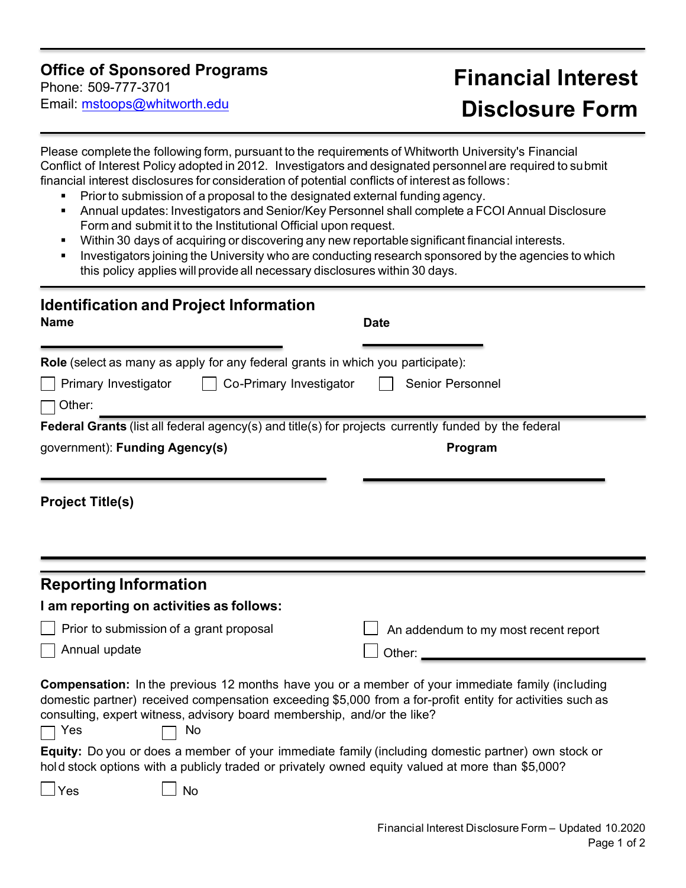## **Office of Sponsored Programs**

Phone: 509-777-3701 Email: [mstoops@whitworth.edu](mailto:mstoops@whitworth.edu)

## **Financial Interest Disclosure Form**

Please complete the following form, pursuant to the requirements of Whitworth Univer[sity's Financial](http://www.lclark.edu/live/profiles/3659-financial-conflict-of-interest-for-externally)  [Conflict of Inte](http://www.lclark.edu/live/profiles/3659-financial-conflict-of-interest-for-externally)rest Policy adopted in 2012. Investigators and designated personnel are required to submit financial interest disclosures for consideration of potential conflicts of interest as follows:

- **Prior to submission of a proposal to the designated external funding agency.**
- Annual updates: Investigators and Senior/Key Personnel shall complete a FCOI Annual Disclosure Form and submit it to the Institutional Official upon request.
- **Within 30 days of acquiring or discovering any new reportable significant financial interests.**
- Investigators joining the University who are conducting research sponsored by the agencies to which this policy applies will provide all necessary disclosures within 30 days.

| <b>Identification and Project Information</b><br><b>Name</b>                                                                                                                                                                                                                                                                                                                                                                                                                                                           | <b>Date</b>                          |
|------------------------------------------------------------------------------------------------------------------------------------------------------------------------------------------------------------------------------------------------------------------------------------------------------------------------------------------------------------------------------------------------------------------------------------------------------------------------------------------------------------------------|--------------------------------------|
| Role (select as many as apply for any federal grants in which you participate):                                                                                                                                                                                                                                                                                                                                                                                                                                        |                                      |
| Co-Primary Investigator<br>Primary Investigator                                                                                                                                                                                                                                                                                                                                                                                                                                                                        | <b>Senior Personnel</b>              |
| Other:                                                                                                                                                                                                                                                                                                                                                                                                                                                                                                                 |                                      |
| Federal Grants (list all federal agency(s) and title(s) for projects currently funded by the federal                                                                                                                                                                                                                                                                                                                                                                                                                   |                                      |
| government): Funding Agency(s)                                                                                                                                                                                                                                                                                                                                                                                                                                                                                         | Program                              |
| <b>Project Title(s)</b>                                                                                                                                                                                                                                                                                                                                                                                                                                                                                                |                                      |
| <b>Reporting Information</b>                                                                                                                                                                                                                                                                                                                                                                                                                                                                                           |                                      |
| I am reporting on activities as follows:                                                                                                                                                                                                                                                                                                                                                                                                                                                                               |                                      |
| Prior to submission of a grant proposal                                                                                                                                                                                                                                                                                                                                                                                                                                                                                | An addendum to my most recent report |
| Annual update                                                                                                                                                                                                                                                                                                                                                                                                                                                                                                          | Other:                               |
| <b>Compensation:</b> In the previous 12 months have you or a member of your immediate family (including<br>domestic partner) received compensation exceeding \$5,000 from a for-profit entity for activities such as<br>consulting, expert witness, advisory board membership, and/or the like?<br>Yes<br>No<br>Equity: Do you or does a member of your immediate family (including domestic partner) own stock or<br>hold stock options with a publicly traded or privately owned equity valued at more than \$5,000? |                                      |
| $\rfloor$ Yes<br><b>No</b>                                                                                                                                                                                                                                                                                                                                                                                                                                                                                             |                                      |